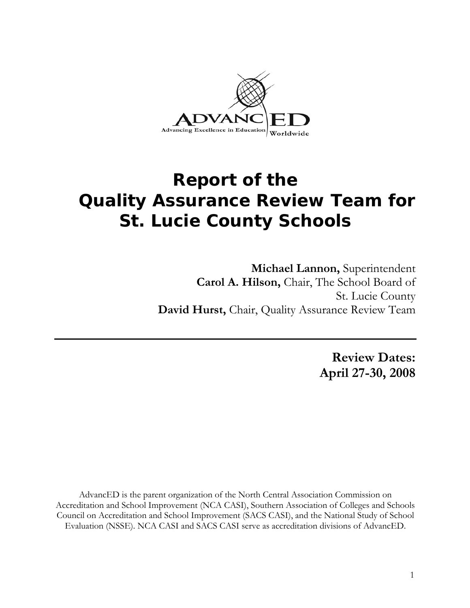

# **Report of the Quality Assurance Review Team for St. Lucie County Schools**

**Michael Lannon,** Superintendent **Carol A. Hilson,** Chair, The School Board of St. Lucie County **David Hurst,** Chair, Quality Assurance Review Team

> **Review Dates: April 27-30, 2008**

AdvancED is the parent organization of the North Central Association Commission on Accreditation and School Improvement (NCA CASI), Southern Association of Colleges and Schools Council on Accreditation and School Improvement (SACS CASI), and the National Study of School Evaluation (NSSE). NCA CASI and SACS CASI serve as accreditation divisions of AdvancED.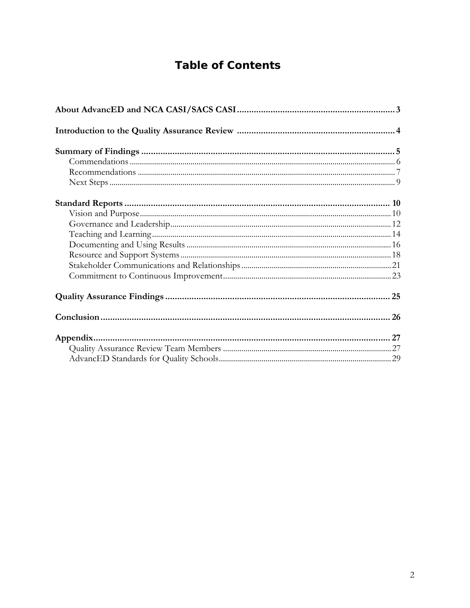## **Table of Contents**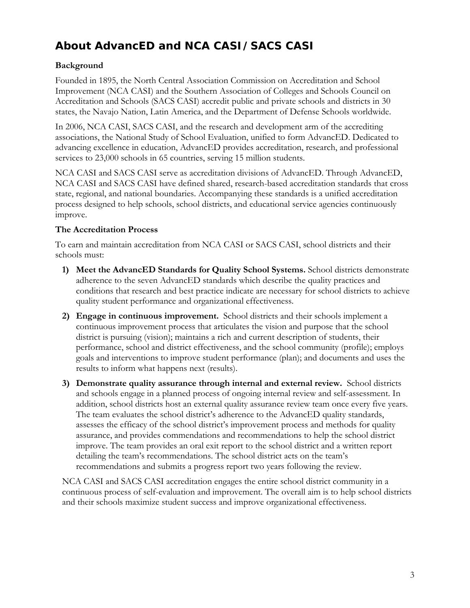## **About AdvancED and NCA CASI/SACS CASI**

## **Background**

Founded in 1895, the North Central Association Commission on Accreditation and School Improvement (NCA CASI) and the Southern Association of Colleges and Schools Council on Accreditation and Schools (SACS CASI) accredit public and private schools and districts in 30 states, the Navajo Nation, Latin America, and the Department of Defense Schools worldwide.

In 2006, NCA CASI, SACS CASI, and the research and development arm of the accrediting associations, the National Study of School Evaluation, unified to form AdvancED. Dedicated to advancing excellence in education, AdvancED provides accreditation, research, and professional services to 23,000 schools in 65 countries, serving 15 million students.

NCA CASI and SACS CASI serve as accreditation divisions of AdvancED. Through AdvancED, NCA CASI and SACS CASI have defined shared, research-based accreditation standards that cross state, regional, and national boundaries. Accompanying these standards is a unified accreditation process designed to help schools, school districts, and educational service agencies continuously improve.

## **The Accreditation Process**

To earn and maintain accreditation from NCA CASI or SACS CASI, school districts and their schools must:

- **1) Meet the AdvancED Standards for Quality School Systems.** School districts demonstrate adherence to the seven AdvancED standards which describe the quality practices and conditions that research and best practice indicate are necessary for school districts to achieve quality student performance and organizational effectiveness.
- **2) Engage in continuous improvement.** School districts and their schools implement a continuous improvement process that articulates the vision and purpose that the school district is pursuing (vision); maintains a rich and current description of students, their performance, school and district effectiveness, and the school community (profile); employs goals and interventions to improve student performance (plan); and documents and uses the results to inform what happens next (results).
- **3) Demonstrate quality assurance through internal and external review.** School districts and schools engage in a planned process of ongoing internal review and self-assessment. In addition, school districts host an external quality assurance review team once every five years. The team evaluates the school district's adherence to the AdvancED quality standards, assesses the efficacy of the school district's improvement process and methods for quality assurance, and provides commendations and recommendations to help the school district improve. The team provides an oral exit report to the school district and a written report detailing the team's recommendations. The school district acts on the team's recommendations and submits a progress report two years following the review.

NCA CASI and SACS CASI accreditation engages the entire school district community in a continuous process of self-evaluation and improvement. The overall aim is to help school districts and their schools maximize student success and improve organizational effectiveness.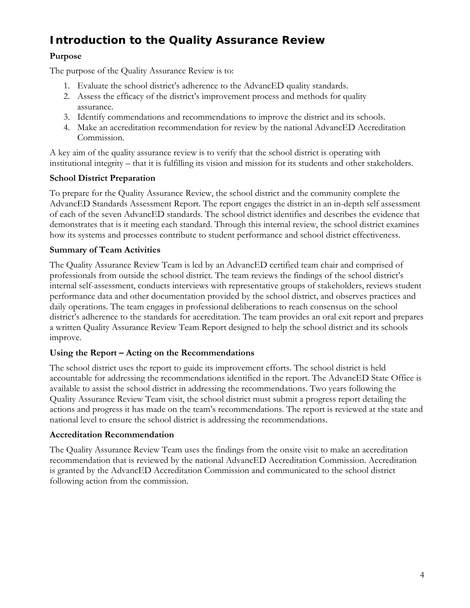## **Introduction to the Quality Assurance Review**

## **Purpose**

The purpose of the Quality Assurance Review is to:

- 1. Evaluate the school district's adherence to the AdvancED quality standards.
- 2. Assess the efficacy of the district's improvement process and methods for quality assurance.
- 3. Identify commendations and recommendations to improve the district and its schools.
- 4. Make an accreditation recommendation for review by the national AdvancED Accreditation Commission.

A key aim of the quality assurance review is to verify that the school district is operating with institutional integrity – that it is fulfilling its vision and mission for its students and other stakeholders.

## **School District Preparation**

To prepare for the Quality Assurance Review, the school district and the community complete the AdvancED Standards Assessment Report. The report engages the district in an in-depth self assessment of each of the seven AdvancED standards. The school district identifies and describes the evidence that demonstrates that is it meeting each standard. Through this internal review, the school district examines how its systems and processes contribute to student performance and school district effectiveness.

## **Summary of Team Activities**

The Quality Assurance Review Team is led by an AdvancED certified team chair and comprised of professionals from outside the school district. The team reviews the findings of the school district's internal self-assessment, conducts interviews with representative groups of stakeholders, reviews student performance data and other documentation provided by the school district, and observes practices and daily operations. The team engages in professional deliberations to reach consensus on the school district's adherence to the standards for accreditation. The team provides an oral exit report and prepares a written Quality Assurance Review Team Report designed to help the school district and its schools improve.

## **Using the Report – Acting on the Recommendations**

The school district uses the report to guide its improvement efforts. The school district is held accountable for addressing the recommendations identified in the report. The AdvancED State Office is available to assist the school district in addressing the recommendations. Two years following the Quality Assurance Review Team visit, the school district must submit a progress report detailing the actions and progress it has made on the team's recommendations. The report is reviewed at the state and national level to ensure the school district is addressing the recommendations.

## **Accreditation Recommendation**

The Quality Assurance Review Team uses the findings from the onsite visit to make an accreditation recommendation that is reviewed by the national AdvancED Accreditation Commission. Accreditation is granted by the AdvancED Accreditation Commission and communicated to the school district following action from the commission.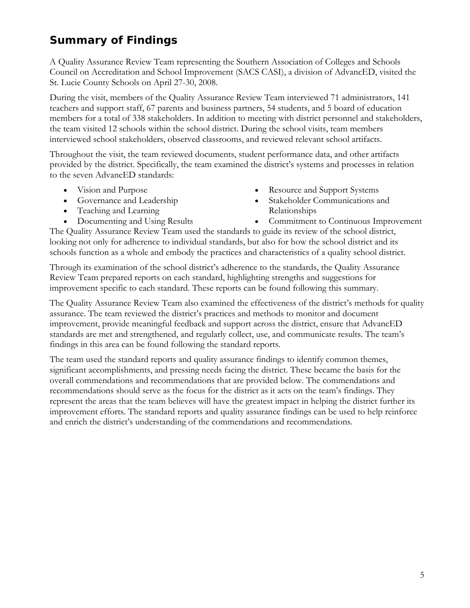## **Summary of Findings**

A Quality Assurance Review Team representing the Southern Association of Colleges and Schools Council on Accreditation and School Improvement (SACS CASI), a division of AdvancED, visited the St. Lucie County Schools on April 27-30, 2008.

During the visit, members of the Quality Assurance Review Team interviewed 71 administrators, 141 teachers and support staff, 67 parents and business partners, 54 students, and 5 board of education members for a total of 338 stakeholders. In addition to meeting with district personnel and stakeholders, the team visited 12 schools within the school district. During the school visits, team members interviewed school stakeholders, observed classrooms, and reviewed relevant school artifacts.

Throughout the visit, the team reviewed documents, student performance data, and other artifacts provided by the district. Specifically, the team examined the district's systems and processes in relation to the seven AdvancED standards:

- Vision and Purpose
- Governance and Leadership
- Teaching and Learning
- Documenting and Using Results
- Resource and Support Systems
- Stakeholder Communications and Relationships
- Commitment to Continuous Improvement

The Quality Assurance Review Team used the standards to guide its review of the school district, looking not only for adherence to individual standards, but also for how the school district and its schools function as a whole and embody the practices and characteristics of a quality school district.

Through its examination of the school district's adherence to the standards, the Quality Assurance Review Team prepared reports on each standard, highlighting strengths and suggestions for improvement specific to each standard. These reports can be found following this summary.

The Quality Assurance Review Team also examined the effectiveness of the district's methods for quality assurance. The team reviewed the district's practices and methods to monitor and document improvement, provide meaningful feedback and support across the district, ensure that AdvancED standards are met and strengthened, and regularly collect, use, and communicate results. The team's findings in this area can be found following the standard reports.

The team used the standard reports and quality assurance findings to identify common themes, significant accomplishments, and pressing needs facing the district. These became the basis for the overall commendations and recommendations that are provided below. The commendations and recommendations should serve as the focus for the district as it acts on the team's findings. They represent the areas that the team believes will have the greatest impact in helping the district further its improvement efforts. The standard reports and quality assurance findings can be used to help reinforce and enrich the district's understanding of the commendations and recommendations.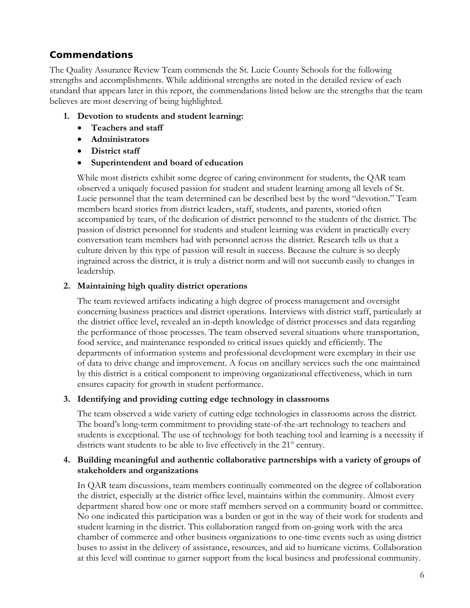## **Commendations**

The Quality Assurance Review Team commends the St. Lucie County Schools for the following strengths and accomplishments. While additional strengths are noted in the detailed review of each standard that appears later in this report, the commendations listed below are the strengths that the team believes are most deserving of being highlighted.

### **1. Devotion to students and student learning:**

- **Teachers and staff**
- **Administrators**
- **District staff**
- **Superintendent and board of education**

While most districts exhibit some degree of caring environment for students, the QAR team observed a uniquely focused passion for student and student learning among all levels of St. Lucie personnel that the team determined can be described best by the word "devotion." Team members heard stories from district leaders, staff, students, and parents, storied often accompanied by tears, of the dedication of district personnel to the students of the district. The passion of district personnel for students and student learning was evident in practically every conversation team members had with personnel across the district. Research tells us that a culture driven by this type of passion will result in success. Because the culture is so deeply ingrained across the district, it is truly a district norm and will not succumb easily to changes in leadership.

### **2. Maintaining high quality district operations**

The team reviewed artifacts indicating a high degree of process management and oversight concerning business practices and district operations. Interviews with district staff, particularly at the district office level, revealed an in-depth knowledge of district processes and data regarding the performance of those processes. The team observed several situations where transportation, food service, and maintenance responded to critical issues quickly and efficiently. The departments of information systems and professional development were exemplary in their use of data to drive change and improvement. A focus on ancillary services such the one maintained by this district is a critical component to improving organizational effectiveness, which in turn ensures capacity for growth in student performance.

## **3. Identifying and providing cutting edge technology in classrooms**

The team observed a wide variety of cutting edge technologies in classrooms across the district. The board's long-term commitment to providing state-of-the-art technology to teachers and students is exceptional. The use of technology for both teaching tool and learning is a necessity if districts want students to be able to live effectively in the  $21<sup>st</sup>$  century.

### **4. Building meaningful and authentic collaborative partnerships with a variety of groups of stakeholders and organizations**

In QAR team discussions, team members continually commented on the degree of collaboration the district, especially at the district office level, maintains within the community. Almost every department shared how one or more staff members served on a community board or committee. No one indicated this participation was a burden or got in the way of their work for students and student learning in the district. This collaboration ranged from on-going work with the area chamber of commerce and other business organizations to one-time events such as using district buses to assist in the delivery of assistance, resources, and aid to hurricane victims. Collaboration at this level will continue to garner support from the local business and professional community.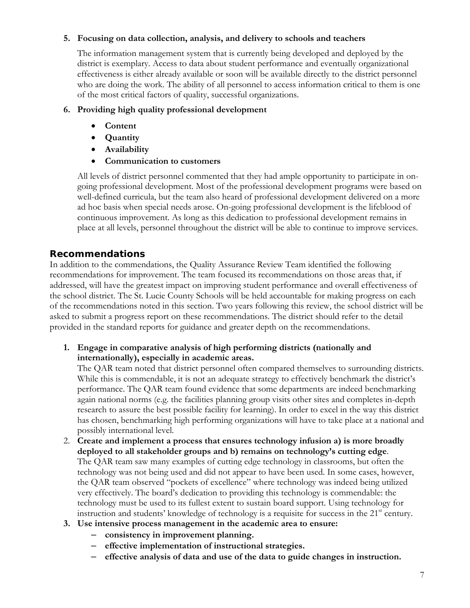### **5. Focusing on data collection, analysis, and delivery to schools and teachers**

The information management system that is currently being developed and deployed by the district is exemplary. Access to data about student performance and eventually organizational effectiveness is either already available or soon will be available directly to the district personnel who are doing the work. The ability of all personnel to access information critical to them is one of the most critical factors of quality, successful organizations.

### **6. Providing high quality professional development**

- **Content**
- **Quantity**
- **Availability**
- **Communication to customers**

All levels of district personnel commented that they had ample opportunity to participate in ongoing professional development. Most of the professional development programs were based on well-defined curricula, but the team also heard of professional development delivered on a more ad hoc basis when special needs arose. On-going professional development is the lifeblood of continuous improvement. As long as this dedication to professional development remains in place at all levels, personnel throughout the district will be able to continue to improve services.

## **Recommendations**

In addition to the commendations, the Quality Assurance Review Team identified the following recommendations for improvement. The team focused its recommendations on those areas that, if addressed, will have the greatest impact on improving student performance and overall effectiveness of the school district. The St. Lucie County Schools will be held accountable for making progress on each of the recommendations noted in this section. Two years following this review, the school district will be asked to submit a progress report on these recommendations. The district should refer to the detail provided in the standard reports for guidance and greater depth on the recommendations.

### **1. Engage in comparative analysis of high performing districts (nationally and internationally), especially in academic areas.**

The QAR team noted that district personnel often compared themselves to surrounding districts. While this is commendable, it is not an adequate strategy to effectively benchmark the district's performance. The QAR team found evidence that some departments are indeed benchmarking again national norms (e.g. the facilities planning group visits other sites and completes in-depth research to assure the best possible facility for learning). In order to excel in the way this district has chosen, benchmarking high performing organizations will have to take place at a national and possibly international level.

- 2. **Create and implement a process that ensures technology infusion a) is more broadly deployed to all stakeholder groups and b) remains on technology's cutting edge**. The QAR team saw many examples of cutting edge technology in classrooms, but often the technology was not being used and did not appear to have been used. In some cases, however, the QAR team observed "pockets of excellence" where technology was indeed being utilized very effectively. The board's dedication to providing this technology is commendable: the technology must be used to its fullest extent to sustain board support. Using technology for instruction and students' knowledge of technology is a requisite for success in the  $21<sup>st</sup>$  century.
- **3. Use intensive process management in the academic area to ensure:** 
	- **consistency in improvement planning.**
	- **effective implementation of instructional strategies.**
	- **effective analysis of data and use of the data to guide changes in instruction.**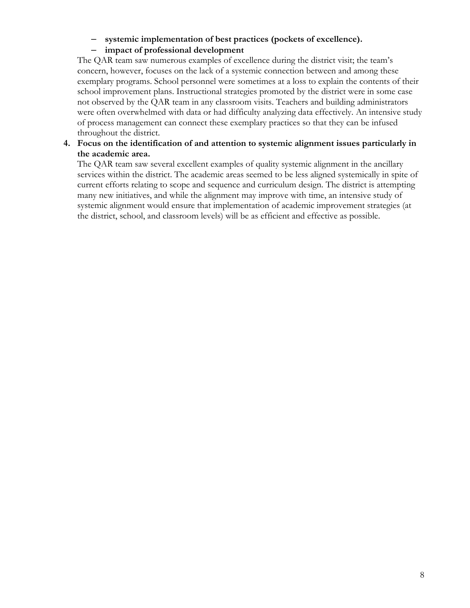#### – **systemic implementation of best practices (pockets of excellence).**

## – **impact of professional development**

The QAR team saw numerous examples of excellence during the district visit; the team's concern, however, focuses on the lack of a systemic connection between and among these exemplary programs. School personnel were sometimes at a loss to explain the contents of their school improvement plans. Instructional strategies promoted by the district were in some case not observed by the QAR team in any classroom visits. Teachers and building administrators were often overwhelmed with data or had difficulty analyzing data effectively. An intensive study of process management can connect these exemplary practices so that they can be infused throughout the district.

## **4. Focus on the identification of and attention to systemic alignment issues particularly in the academic area.**

The QAR team saw several excellent examples of quality systemic alignment in the ancillary services within the district. The academic areas seemed to be less aligned systemically in spite of current efforts relating to scope and sequence and curriculum design. The district is attempting many new initiatives, and while the alignment may improve with time, an intensive study of systemic alignment would ensure that implementation of academic improvement strategies (at the district, school, and classroom levels) will be as efficient and effective as possible.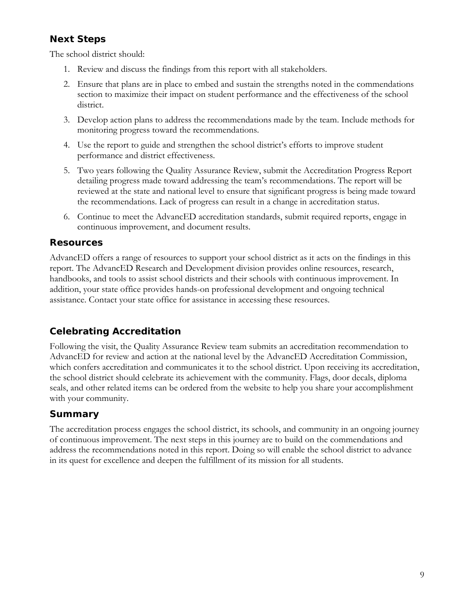## **Next Steps**

The school district should:

- 1. Review and discuss the findings from this report with all stakeholders.
- 2. Ensure that plans are in place to embed and sustain the strengths noted in the commendations section to maximize their impact on student performance and the effectiveness of the school district.
- 3. Develop action plans to address the recommendations made by the team. Include methods for monitoring progress toward the recommendations.
- 4. Use the report to guide and strengthen the school district's efforts to improve student performance and district effectiveness.
- 5. Two years following the Quality Assurance Review, submit the Accreditation Progress Report detailing progress made toward addressing the team's recommendations. The report will be reviewed at the state and national level to ensure that significant progress is being made toward the recommendations. Lack of progress can result in a change in accreditation status.
- 6. Continue to meet the AdvancED accreditation standards, submit required reports, engage in continuous improvement, and document results.

## **Resources**

AdvancED offers a range of resources to support your school district as it acts on the findings in this report. The AdvancED Research and Development division provides online resources, research, handbooks, and tools to assist school districts and their schools with continuous improvement. In addition, your state office provides hands-on professional development and ongoing technical assistance. Contact your state office for assistance in accessing these resources.

## **Celebrating Accreditation**

Following the visit, the Quality Assurance Review team submits an accreditation recommendation to AdvancED for review and action at the national level by the AdvancED Accreditation Commission, which confers accreditation and communicates it to the school district. Upon receiving its accreditation, the school district should celebrate its achievement with the community. Flags, door decals, diploma seals, and other related items can be ordered from the website to help you share your accomplishment with your community.

## **Summary**

The accreditation process engages the school district, its schools, and community in an ongoing journey of continuous improvement. The next steps in this journey are to build on the commendations and address the recommendations noted in this report. Doing so will enable the school district to advance in its quest for excellence and deepen the fulfillment of its mission for all students.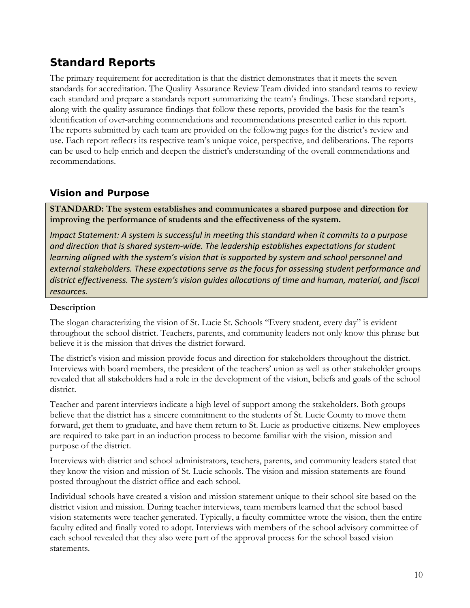## **Standard Reports**

The primary requirement for accreditation is that the district demonstrates that it meets the seven standards for accreditation. The Quality Assurance Review Team divided into standard teams to review each standard and prepare a standards report summarizing the team's findings. These standard reports, along with the quality assurance findings that follow these reports, provided the basis for the team's identification of over-arching commendations and recommendations presented earlier in this report. The reports submitted by each team are provided on the following pages for the district's review and use. Each report reflects its respective team's unique voice, perspective, and deliberations. The reports can be used to help enrich and deepen the district's understanding of the overall commendations and recommendations.

## **Vision and Purpose**

**STANDARD: The system establishes and communicates a shared purpose and direction for improving the performance of students and the effectiveness of the system.** 

*Impact Statement: A system is successful in meeting this standard when it commits to a purpose and direction that is shared system‐wide. The leadership establishes expectations for student learning aligned with the system's vision that is supported by system and school personnel and external stakeholders. These expectations serve as the focus for assessing student performance and district effectiveness. The system's vision guides allocations of time and human, material, and fiscal resources.*

## **Description**

The slogan characterizing the vision of St. Lucie St. Schools "Every student, every day" is evident throughout the school district. Teachers, parents, and community leaders not only know this phrase but believe it is the mission that drives the district forward.

The district's vision and mission provide focus and direction for stakeholders throughout the district. Interviews with board members, the president of the teachers' union as well as other stakeholder groups revealed that all stakeholders had a role in the development of the vision, beliefs and goals of the school district.

Teacher and parent interviews indicate a high level of support among the stakeholders. Both groups believe that the district has a sincere commitment to the students of St. Lucie County to move them forward, get them to graduate, and have them return to St. Lucie as productive citizens. New employees are required to take part in an induction process to become familiar with the vision, mission and purpose of the district.

Interviews with district and school administrators, teachers, parents, and community leaders stated that they know the vision and mission of St. Lucie schools. The vision and mission statements are found posted throughout the district office and each school.

Individual schools have created a vision and mission statement unique to their school site based on the district vision and mission. During teacher interviews, team members learned that the school based vision statements were teacher generated. Typically, a faculty committee wrote the vision, then the entire faculty edited and finally voted to adopt. Interviews with members of the school advisory committee of each school revealed that they also were part of the approval process for the school based vision statements.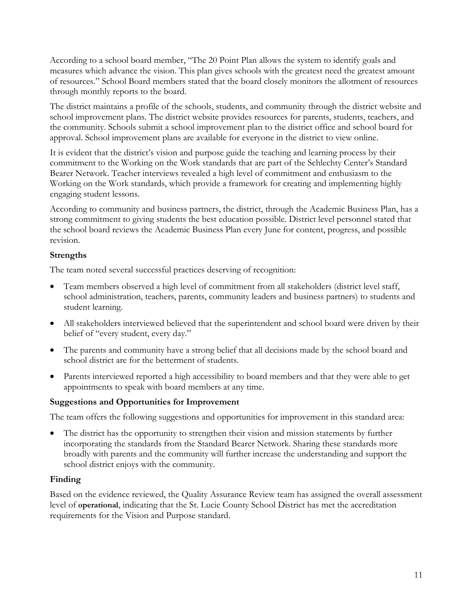According to a school board member, "The 20 Point Plan allows the system to identify goals and measures which advance the vision. This plan gives schools with the greatest need the greatest amount of resources." School Board members stated that the board closely monitors the allotment of resources through monthly reports to the board.

The district maintains a profile of the schools, students, and community through the district website and school improvement plans. The district website provides resources for parents, students, teachers, and the community. Schools submit a school improvement plan to the district office and school board for approval. School improvement plans are available for everyone in the district to view online.

It is evident that the district's vision and purpose guide the teaching and learning process by their commitment to the Working on the Work standards that are part of the Schlechty Center's Standard Bearer Network. Teacher interviews revealed a high level of commitment and enthusiasm to the Working on the Work standards, which provide a framework for creating and implementing highly engaging student lessons.

According to community and business partners, the district, through the Academic Business Plan, has a strong commitment to giving students the best education possible. District level personnel stated that the school board reviews the Academic Business Plan every June for content, progress, and possible revision.

### **Strengths**

The team noted several successful practices deserving of recognition:

- Team members observed a high level of commitment from all stakeholders (district level staff, school administration, teachers, parents, community leaders and business partners) to students and student learning.
- All stakeholders interviewed believed that the superintendent and school board were driven by their belief of "every student, every day."
- The parents and community have a strong belief that all decisions made by the school board and school district are for the betterment of students.
- Parents interviewed reported a high accessibility to board members and that they were able to get appointments to speak with board members at any time.

## **Suggestions and Opportunities for Improvement**

The team offers the following suggestions and opportunities for improvement in this standard area:

• The district has the opportunity to strengthen their vision and mission statements by further incorporating the standards from the Standard Bearer Network. Sharing these standards more broadly with parents and the community will further increase the understanding and support the school district enjoys with the community.

## **Finding**

Based on the evidence reviewed, the Quality Assurance Review team has assigned the overall assessment level of **operational**, indicating that the St. Lucie County School District has met the accreditation requirements for the Vision and Purpose standard.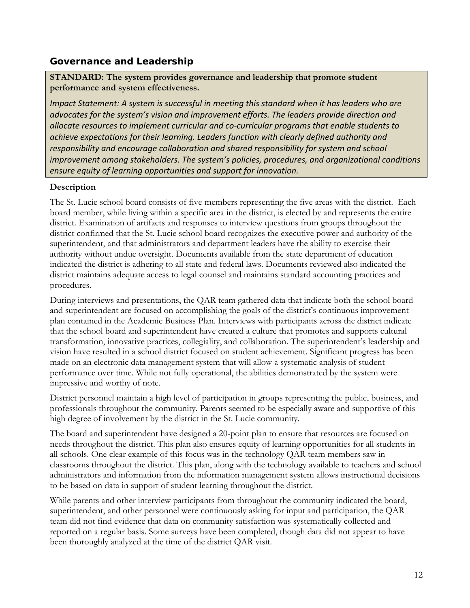## **Governance and Leadership**

**STANDARD: The system provides governance and leadership that promote student performance and system effectiveness.**

*Impact Statement: A system is successful in meeting this standard when it has leaders who are advocates for the system's vision and improvement efforts. The leaders provide direction and allocate resources to implement curricular and co‐curricular programs that enable students to achieve expectations for their learning. Leaders function with clearly defined authority and responsibility and encourage collaboration and shared responsibility for system and school improvement among stakeholders. The system's policies, procedures, and organizational conditions ensure equity of learning opportunities and support for innovation.*

## **Description**

The St. Lucie school board consists of five members representing the five areas with the district. Each board member, while living within a specific area in the district, is elected by and represents the entire district. Examination of artifacts and responses to interview questions from groups throughout the district confirmed that the St. Lucie school board recognizes the executive power and authority of the superintendent, and that administrators and department leaders have the ability to exercise their authority without undue oversight. Documents available from the state department of education indicated the district is adhering to all state and federal laws. Documents reviewed also indicated the district maintains adequate access to legal counsel and maintains standard accounting practices and procedures.

During interviews and presentations, the QAR team gathered data that indicate both the school board and superintendent are focused on accomplishing the goals of the district's continuous improvement plan contained in the Academic Business Plan. Interviews with participants across the district indicate that the school board and superintendent have created a culture that promotes and supports cultural transformation, innovative practices, collegiality, and collaboration. The superintendent's leadership and vision have resulted in a school district focused on student achievement. Significant progress has been made on an electronic data management system that will allow a systematic analysis of student performance over time. While not fully operational, the abilities demonstrated by the system were impressive and worthy of note.

District personnel maintain a high level of participation in groups representing the public, business, and professionals throughout the community. Parents seemed to be especially aware and supportive of this high degree of involvement by the district in the St. Lucie community.

The board and superintendent have designed a 20-point plan to ensure that resources are focused on needs throughout the district. This plan also ensures equity of learning opportunities for all students in all schools. One clear example of this focus was in the technology QAR team members saw in classrooms throughout the district. This plan, along with the technology available to teachers and school administrators and information from the information management system allows instructional decisions to be based on data in support of student learning throughout the district.

While parents and other interview participants from throughout the community indicated the board, superintendent, and other personnel were continuously asking for input and participation, the QAR team did not find evidence that data on community satisfaction was systematically collected and reported on a regular basis. Some surveys have been completed, though data did not appear to have been thoroughly analyzed at the time of the district QAR visit.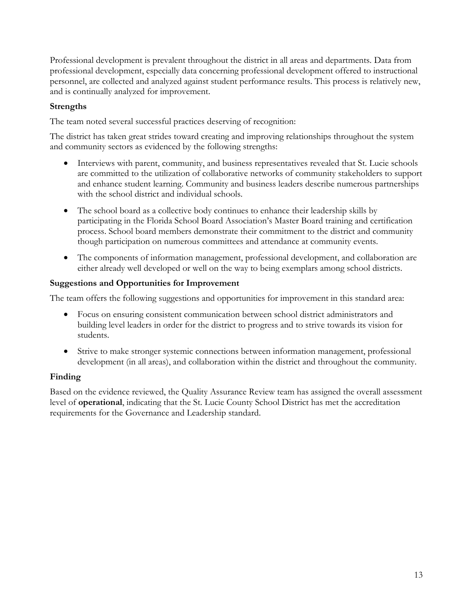Professional development is prevalent throughout the district in all areas and departments. Data from professional development, especially data concerning professional development offered to instructional personnel, are collected and analyzed against student performance results. This process is relatively new, and is continually analyzed for improvement.

## **Strengths**

The team noted several successful practices deserving of recognition:

The district has taken great strides toward creating and improving relationships throughout the system and community sectors as evidenced by the following strengths:

- Interviews with parent, community, and business representatives revealed that St. Lucie schools are committed to the utilization of collaborative networks of community stakeholders to support and enhance student learning. Community and business leaders describe numerous partnerships with the school district and individual schools.
- The school board as a collective body continues to enhance their leadership skills by participating in the Florida School Board Association's Master Board training and certification process. School board members demonstrate their commitment to the district and community though participation on numerous committees and attendance at community events.
- The components of information management, professional development, and collaboration are either already well developed or well on the way to being exemplars among school districts.

## **Suggestions and Opportunities for Improvement**

The team offers the following suggestions and opportunities for improvement in this standard area:

- Focus on ensuring consistent communication between school district administrators and building level leaders in order for the district to progress and to strive towards its vision for students.
- Strive to make stronger systemic connections between information management, professional development (in all areas), and collaboration within the district and throughout the community.

## **Finding**

Based on the evidence reviewed, the Quality Assurance Review team has assigned the overall assessment level of **operational**, indicating that the St. Lucie County School District has met the accreditation requirements for the Governance and Leadership standard.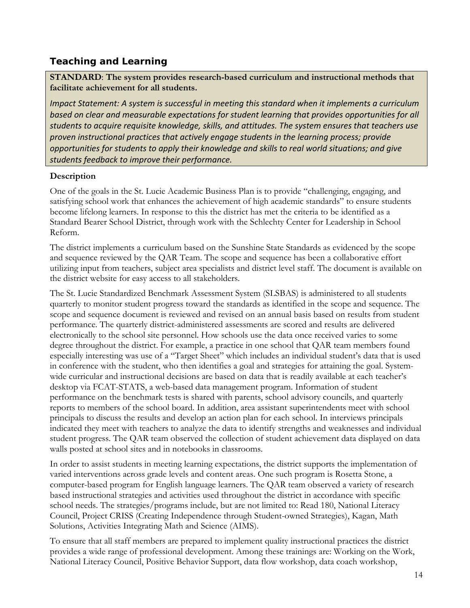## **Teaching and Learning**

**STANDARD**: **The system provides research-based curriculum and instructional methods that facilitate achievement for all students.**

*Impact Statement: A system is successful in meeting this standard when it implements a curriculum based on clear and measurable expectations for student learning that provides opportunities for all students to acquire requisite knowledge, skills, and attitudes. The system ensures that teachers use proven instructional practices that actively engage students in the learning process; provide opportunities for students to apply their knowledge and skills to real world situations; and give students feedback to improve their performance.*

## **Description**

One of the goals in the St. Lucie Academic Business Plan is to provide "challenging, engaging, and satisfying school work that enhances the achievement of high academic standards" to ensure students become lifelong learners. In response to this the district has met the criteria to be identified as a Standard Bearer School District, through work with the Schlechty Center for Leadership in School Reform.

The district implements a curriculum based on the Sunshine State Standards as evidenced by the scope and sequence reviewed by the QAR Team. The scope and sequence has been a collaborative effort utilizing input from teachers, subject area specialists and district level staff. The document is available on the district website for easy access to all stakeholders.

The St. Lucie Standardized Benchmark Assessment System (SLSBAS) is administered to all students quarterly to monitor student progress toward the standards as identified in the scope and sequence. The scope and sequence document is reviewed and revised on an annual basis based on results from student performance. The quarterly district-administered assessments are scored and results are delivered electronically to the school site personnel. How schools use the data once received varies to some degree throughout the district. For example, a practice in one school that QAR team members found especially interesting was use of a "Target Sheet" which includes an individual student's data that is used in conference with the student, who then identifies a goal and strategies for attaining the goal. Systemwide curricular and instructional decisions are based on data that is readily available at each teacher's desktop via FCAT-STATS, a web-based data management program. Information of student performance on the benchmark tests is shared with parents, school advisory councils, and quarterly reports to members of the school board. In addition, area assistant superintendents meet with school principals to discuss the results and develop an action plan for each school. In interviews principals indicated they meet with teachers to analyze the data to identify strengths and weaknesses and individual student progress. The QAR team observed the collection of student achievement data displayed on data walls posted at school sites and in notebooks in classrooms.

In order to assist students in meeting learning expectations, the district supports the implementation of varied interventions across grade levels and content areas. One such program is Rosetta Stone, a computer-based program for English language learners. The QAR team observed a variety of research based instructional strategies and activities used throughout the district in accordance with specific school needs. The strategies/programs include, but are not limited to: Read 180, National Literacy Council, Project CRISS (Creating Independence through Student-owned Strategies), Kagan, Math Solutions, Activities Integrating Math and Science (AIMS).

To ensure that all staff members are prepared to implement quality instructional practices the district provides a wide range of professional development. Among these trainings are: Working on the Work, National Literacy Council, Positive Behavior Support, data flow workshop, data coach workshop,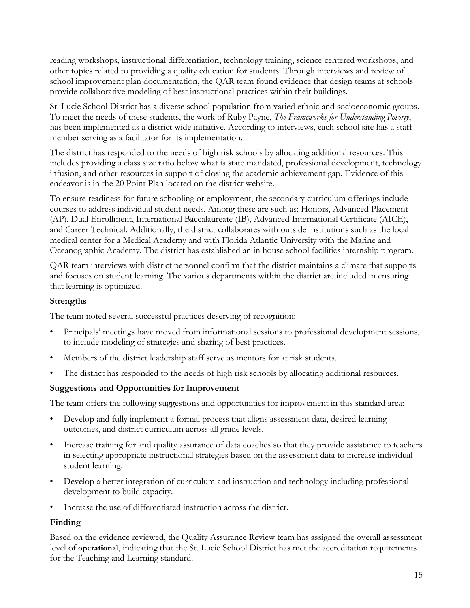reading workshops, instructional differentiation, technology training, science centered workshops, and other topics related to providing a quality education for students. Through interviews and review of school improvement plan documentation, the QAR team found evidence that design teams at schools provide collaborative modeling of best instructional practices within their buildings.

St. Lucie School District has a diverse school population from varied ethnic and socioeconomic groups. To meet the needs of these students, the work of Ruby Payne, *The Frameworks for Understanding Poverty*, has been implemented as a district wide initiative. According to interviews, each school site has a staff member serving as a facilitator for its implementation.

The district has responded to the needs of high risk schools by allocating additional resources. This includes providing a class size ratio below what is state mandated, professional development, technology infusion, and other resources in support of closing the academic achievement gap. Evidence of this endeavor is in the 20 Point Plan located on the district website.

To ensure readiness for future schooling or employment, the secondary curriculum offerings include courses to address individual student needs. Among these are such as: Honors, Advanced Placement (AP), Dual Enrollment, International Baccalaureate (IB), Advanced International Certificate (AICE), and Career Technical. Additionally, the district collaborates with outside institutions such as the local medical center for a Medical Academy and with Florida Atlantic University with the Marine and Oceanographic Academy. The district has established an in house school facilities internship program.

QAR team interviews with district personnel confirm that the district maintains a climate that supports and focuses on student learning. The various departments within the district are included in ensuring that learning is optimized.

### **Strengths**

The team noted several successful practices deserving of recognition:

- Principals' meetings have moved from informational sessions to professional development sessions, to include modeling of strategies and sharing of best practices.
- Members of the district leadership staff serve as mentors for at risk students.
- The district has responded to the needs of high risk schools by allocating additional resources.

## **Suggestions and Opportunities for Improvement**

The team offers the following suggestions and opportunities for improvement in this standard area:

- Develop and fully implement a formal process that aligns assessment data, desired learning outcomes, and district curriculum across all grade levels.
- Increase training for and quality assurance of data coaches so that they provide assistance to teachers in selecting appropriate instructional strategies based on the assessment data to increase individual student learning.
- Develop a better integration of curriculum and instruction and technology including professional development to build capacity.
- Increase the use of differentiated instruction across the district.

## **Finding**

Based on the evidence reviewed, the Quality Assurance Review team has assigned the overall assessment level of **operational**, indicating that the St. Lucie School District has met the accreditation requirements for the Teaching and Learning standard.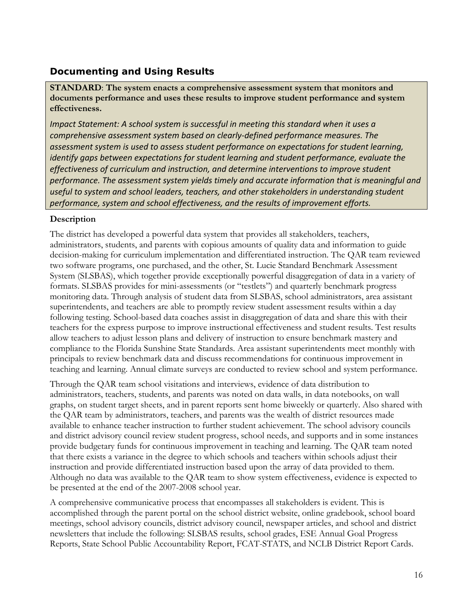## **Documenting and Using Results**

**STANDARD**: **The system enacts a comprehensive assessment system that monitors and documents performance and uses these results to improve student performance and system effectiveness.** 

*Impact Statement: A school system is successful in meeting this standard when it uses a comprehensive assessment system based on clearly‐defined performance measures. The assessment system is used to assess student performance on expectations for student learning, identify gaps between expectations for student learning and student performance, evaluate the effectiveness of curriculum and instruction, and determine interventions to improve student performance. The assessment system yields timely and accurate information that is meaningful and useful to system and school leaders, teachers, and other stakeholders in understanding student performance, system and school effectiveness, and the results of improvement efforts.*

## **Description**

The district has developed a powerful data system that provides all stakeholders, teachers, administrators, students, and parents with copious amounts of quality data and information to guide decision-making for curriculum implementation and differentiated instruction. The QAR team reviewed two software programs, one purchased, and the other, St. Lucie Standard Benchmark Assessment System (SLSBAS), which together provide exceptionally powerful disaggregation of data in a variety of formats. SLSBAS provides for mini-assessments (or "testlets") and quarterly benchmark progress monitoring data. Through analysis of student data from SLSBAS, school administrators, area assistant superintendents, and teachers are able to promptly review student assessment results within a day following testing. School-based data coaches assist in disaggregation of data and share this with their teachers for the express purpose to improve instructional effectiveness and student results. Test results allow teachers to adjust lesson plans and delivery of instruction to ensure benchmark mastery and compliance to the Florida Sunshine State Standards. Area assistant superintendents meet monthly with principals to review benchmark data and discuss recommendations for continuous improvement in teaching and learning. Annual climate surveys are conducted to review school and system performance.

Through the QAR team school visitations and interviews, evidence of data distribution to administrators, teachers, students, and parents was noted on data walls, in data notebooks, on wall graphs, on student target sheets, and in parent reports sent home biweekly or quarterly. Also shared with the QAR team by administrators, teachers, and parents was the wealth of district resources made available to enhance teacher instruction to further student achievement. The school advisory councils and district advisory council review student progress, school needs, and supports and in some instances provide budgetary funds for continuous improvement in teaching and learning. The QAR team noted that there exists a variance in the degree to which schools and teachers within schools adjust their instruction and provide differentiated instruction based upon the array of data provided to them. Although no data was available to the QAR team to show system effectiveness, evidence is expected to be presented at the end of the 2007-2008 school year.

A comprehensive communicative process that encompasses all stakeholders is evident. This is accomplished through the parent portal on the school district website, online gradebook, school board meetings, school advisory councils, district advisory council, newspaper articles, and school and district newsletters that include the following: SLSBAS results, school grades, ESE Annual Goal Progress Reports, State School Public Accountability Report, FCAT-STATS, and NCLB District Report Cards.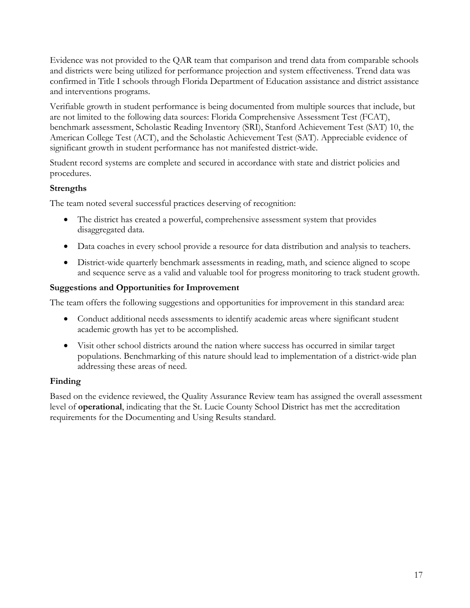Evidence was not provided to the QAR team that comparison and trend data from comparable schools and districts were being utilized for performance projection and system effectiveness. Trend data was confirmed in Title I schools through Florida Department of Education assistance and district assistance and interventions programs.

Verifiable growth in student performance is being documented from multiple sources that include, but are not limited to the following data sources: Florida Comprehensive Assessment Test (FCAT), benchmark assessment, Scholastic Reading Inventory (SRI), Stanford Achievement Test (SAT) 10, the American College Test (ACT), and the Scholastic Achievement Test (SAT). Appreciable evidence of significant growth in student performance has not manifested district-wide.

Student record systems are complete and secured in accordance with state and district policies and procedures.

### **Strengths**

The team noted several successful practices deserving of recognition:

- The district has created a powerful, comprehensive assessment system that provides disaggregated data.
- Data coaches in every school provide a resource for data distribution and analysis to teachers.
- District-wide quarterly benchmark assessments in reading, math, and science aligned to scope and sequence serve as a valid and valuable tool for progress monitoring to track student growth.

### **Suggestions and Opportunities for Improvement**

The team offers the following suggestions and opportunities for improvement in this standard area:

- Conduct additional needs assessments to identify academic areas where significant student academic growth has yet to be accomplished.
- Visit other school districts around the nation where success has occurred in similar target populations. Benchmarking of this nature should lead to implementation of a district-wide plan addressing these areas of need.

## **Finding**

Based on the evidence reviewed, the Quality Assurance Review team has assigned the overall assessment level of **operational**, indicating that the St. Lucie County School District has met the accreditation requirements for the Documenting and Using Results standard.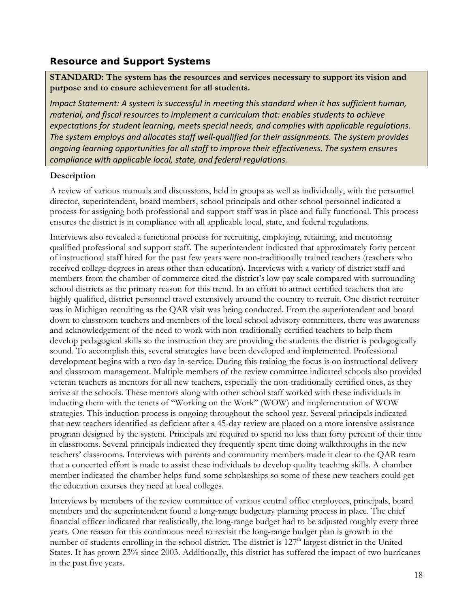## **Resource and Support Systems**

**STANDARD: The system has the resources and services necessary to support its vision and purpose and to ensure achievement for all students.** 

*Impact Statement: A system is successful in meeting this standard when it has sufficient human, material, and fiscal resources to implement a curriculum that: enables students to achieve expectations for student learning, meets special needs, and complies with applicable regulations. The system employs and allocates staff well‐qualified for their assignments. The system provides ongoing learning opportunities for all staff to improve their effectiveness. The system ensures compliance with applicable local, state, and federal regulations.*

### **Description**

A review of various manuals and discussions, held in groups as well as individually, with the personnel director, superintendent, board members, school principals and other school personnel indicated a process for assigning both professional and support staff was in place and fully functional. This process ensures the district is in compliance with all applicable local, state, and federal regulations.

Interviews also revealed a functional process for recruiting, employing, retaining, and mentoring qualified professional and support staff. The superintendent indicated that approximately forty percent of instructional staff hired for the past few years were non-traditionally trained teachers (teachers who received college degrees in areas other than education). Interviews with a variety of district staff and members from the chamber of commerce cited the district's low pay scale compared with surrounding school districts as the primary reason for this trend. In an effort to attract certified teachers that are highly qualified, district personnel travel extensively around the country to recruit. One district recruiter was in Michigan recruiting as the QAR visit was being conducted. From the superintendent and board down to classroom teachers and members of the local school advisory committees, there was awareness and acknowledgement of the need to work with non-traditionally certified teachers to help them develop pedagogical skills so the instruction they are providing the students the district is pedagogically sound. To accomplish this, several strategies have been developed and implemented. Professional development begins with a two day in-service. During this training the focus is on instructional delivery and classroom management. Multiple members of the review committee indicated schools also provided veteran teachers as mentors for all new teachers, especially the non-traditionally certified ones, as they arrive at the schools. These mentors along with other school staff worked with these individuals in inducting them with the tenets of "Working on the Work" (WOW) and implementation of WOW strategies. This induction process is ongoing throughout the school year. Several principals indicated that new teachers identified as deficient after a 45-day review are placed on a more intensive assistance program designed by the system. Principals are required to spend no less than forty percent of their time in classrooms. Several principals indicated they frequently spent time doing walkthroughs in the new teachers' classrooms. Interviews with parents and community members made it clear to the QAR team that a concerted effort is made to assist these individuals to develop quality teaching skills. A chamber member indicated the chamber helps fund some scholarships so some of these new teachers could get the education courses they need at local colleges.

Interviews by members of the review committee of various central office employees, principals, board members and the superintendent found a long-range budgetary planning process in place. The chief financial officer indicated that realistically, the long-range budget had to be adjusted roughly every three years. One reason for this continuous need to revisit the long-range budget plan is growth in the number of students enrolling in the school district. The district is 127<sup>th</sup> largest district in the United States. It has grown 23% since 2003. Additionally, this district has suffered the impact of two hurricanes in the past five years.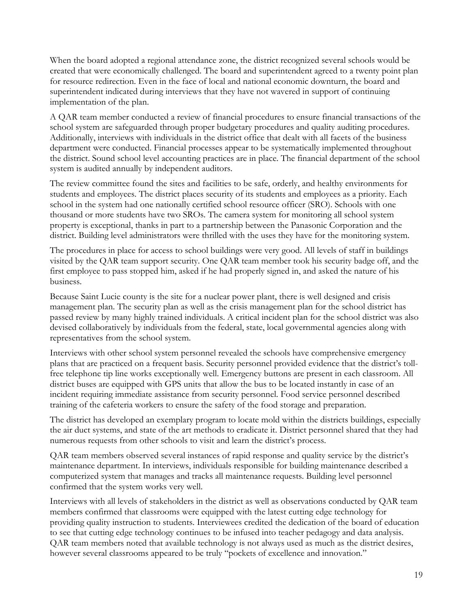When the board adopted a regional attendance zone, the district recognized several schools would be created that were economically challenged. The board and superintendent agreed to a twenty point plan for resource redirection. Even in the face of local and national economic downturn, the board and superintendent indicated during interviews that they have not wavered in support of continuing implementation of the plan.

A QAR team member conducted a review of financial procedures to ensure financial transactions of the school system are safeguarded through proper budgetary procedures and quality auditing procedures. Additionally, interviews with individuals in the district office that dealt with all facets of the business department were conducted. Financial processes appear to be systematically implemented throughout the district. Sound school level accounting practices are in place. The financial department of the school system is audited annually by independent auditors.

The review committee found the sites and facilities to be safe, orderly, and healthy environments for students and employees. The district places security of its students and employees as a priority. Each school in the system had one nationally certified school resource officer (SRO). Schools with one thousand or more students have two SROs. The camera system for monitoring all school system property is exceptional, thanks in part to a partnership between the Panasonic Corporation and the district. Building level administrators were thrilled with the uses they have for the monitoring system.

The procedures in place for access to school buildings were very good. All levels of staff in buildings visited by the QAR team support security. One QAR team member took his security badge off, and the first employee to pass stopped him, asked if he had properly signed in, and asked the nature of his business.

Because Saint Lucie county is the site for a nuclear power plant, there is well designed and crisis management plan. The security plan as well as the crisis management plan for the school district has passed review by many highly trained individuals. A critical incident plan for the school district was also devised collaboratively by individuals from the federal, state, local governmental agencies along with representatives from the school system.

Interviews with other school system personnel revealed the schools have comprehensive emergency plans that are practiced on a frequent basis. Security personnel provided evidence that the district's tollfree telephone tip line works exceptionally well. Emergency buttons are present in each classroom. All district buses are equipped with GPS units that allow the bus to be located instantly in case of an incident requiring immediate assistance from security personnel. Food service personnel described training of the cafeteria workers to ensure the safety of the food storage and preparation.

The district has developed an exemplary program to locate mold within the districts buildings, especially the air duct systems, and state of the art methods to eradicate it. District personnel shared that they had numerous requests from other schools to visit and learn the district's process.

QAR team members observed several instances of rapid response and quality service by the district's maintenance department. In interviews, individuals responsible for building maintenance described a computerized system that manages and tracks all maintenance requests. Building level personnel confirmed that the system works very well.

Interviews with all levels of stakeholders in the district as well as observations conducted by QAR team members confirmed that classrooms were equipped with the latest cutting edge technology for providing quality instruction to students. Interviewees credited the dedication of the board of education to see that cutting edge technology continues to be infused into teacher pedagogy and data analysis. QAR team members noted that available technology is not always used as much as the district desires, however several classrooms appeared to be truly "pockets of excellence and innovation."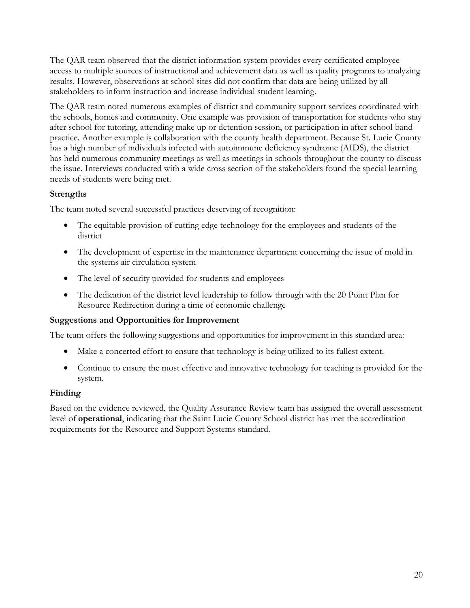The QAR team observed that the district information system provides every certificated employee access to multiple sources of instructional and achievement data as well as quality programs to analyzing results. However, observations at school sites did not confirm that data are being utilized by all stakeholders to inform instruction and increase individual student learning.

The QAR team noted numerous examples of district and community support services coordinated with the schools, homes and community. One example was provision of transportation for students who stay after school for tutoring, attending make up or detention session, or participation in after school band practice. Another example is collaboration with the county health department. Because St. Lucie County has a high number of individuals infected with autoimmune deficiency syndrome (AIDS), the district has held numerous community meetings as well as meetings in schools throughout the county to discuss the issue. Interviews conducted with a wide cross section of the stakeholders found the special learning needs of students were being met.

## **Strengths**

The team noted several successful practices deserving of recognition:

- The equitable provision of cutting edge technology for the employees and students of the district
- The development of expertise in the maintenance department concerning the issue of mold in the systems air circulation system
- The level of security provided for students and employees
- The dedication of the district level leadership to follow through with the 20 Point Plan for Resource Redirection during a time of economic challenge

## **Suggestions and Opportunities for Improvement**

The team offers the following suggestions and opportunities for improvement in this standard area:

- Make a concerted effort to ensure that technology is being utilized to its fullest extent.
- Continue to ensure the most effective and innovative technology for teaching is provided for the system.

## **Finding**

Based on the evidence reviewed, the Quality Assurance Review team has assigned the overall assessment level of **operational**, indicating that the Saint Lucie County School district has met the accreditation requirements for the Resource and Support Systems standard.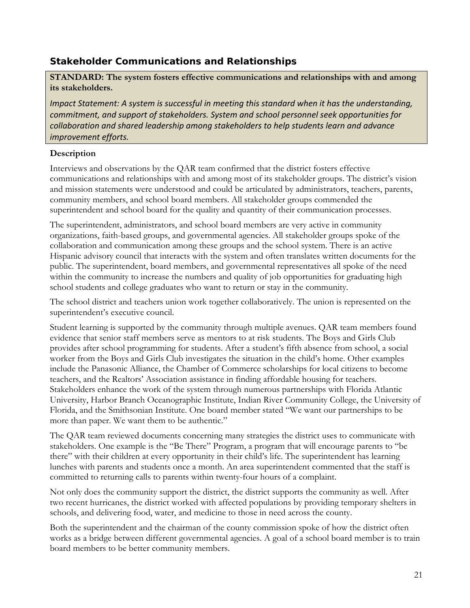## **Stakeholder Communications and Relationships**

**STANDARD: The system fosters effective communications and relationships with and among its stakeholders.** 

*Impact Statement: A system is successful in meeting this standard when it has the understanding, commitment, and support of stakeholders. System and school personnel seek opportunities for collaboration and shared leadership among stakeholders to help students learn and advance improvement efforts.*

## **Description**

Interviews and observations by the QAR team confirmed that the district fosters effective communications and relationships with and among most of its stakeholder groups. The district's vision and mission statements were understood and could be articulated by administrators, teachers, parents, community members, and school board members. All stakeholder groups commended the superintendent and school board for the quality and quantity of their communication processes.

The superintendent, administrators, and school board members are very active in community organizations, faith-based groups, and governmental agencies. All stakeholder groups spoke of the collaboration and communication among these groups and the school system. There is an active Hispanic advisory council that interacts with the system and often translates written documents for the public. The superintendent, board members, and governmental representatives all spoke of the need within the community to increase the numbers and quality of job opportunities for graduating high school students and college graduates who want to return or stay in the community.

The school district and teachers union work together collaboratively. The union is represented on the superintendent's executive council.

Student learning is supported by the community through multiple avenues. QAR team members found evidence that senior staff members serve as mentors to at risk students. The Boys and Girls Club provides after school programming for students. After a student's fifth absence from school, a social worker from the Boys and Girls Club investigates the situation in the child's home. Other examples include the Panasonic Alliance, the Chamber of Commerce scholarships for local citizens to become teachers, and the Realtors' Association assistance in finding affordable housing for teachers. Stakeholders enhance the work of the system through numerous partnerships with Florida Atlantic University, Harbor Branch Oceanographic Institute, Indian River Community College, the University of Florida, and the Smithsonian Institute. One board member stated "We want our partnerships to be more than paper. We want them to be authentic."

The QAR team reviewed documents concerning many strategies the district uses to communicate with stakeholders. One example is the "Be There" Program, a program that will encourage parents to "be there" with their children at every opportunity in their child's life. The superintendent has learning lunches with parents and students once a month. An area superintendent commented that the staff is committed to returning calls to parents within twenty-four hours of a complaint.

Not only does the community support the district, the district supports the community as well. After two recent hurricanes, the district worked with affected populations by providing temporary shelters in schools, and delivering food, water, and medicine to those in need across the county.

Both the superintendent and the chairman of the county commission spoke of how the district often works as a bridge between different governmental agencies. A goal of a school board member is to train board members to be better community members.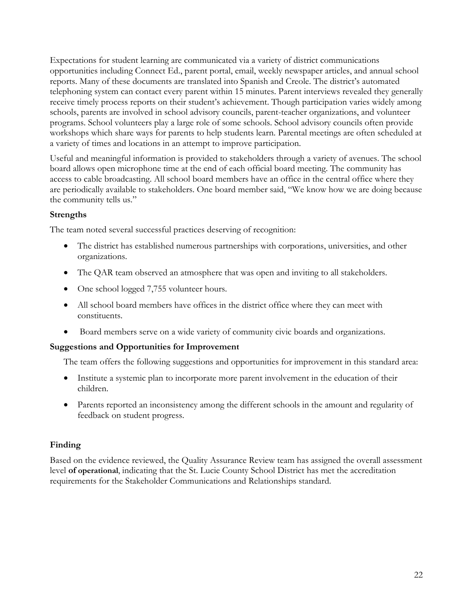Expectations for student learning are communicated via a variety of district communications opportunities including Connect Ed., parent portal, email, weekly newspaper articles, and annual school reports. Many of these documents are translated into Spanish and Creole. The district's automated telephoning system can contact every parent within 15 minutes. Parent interviews revealed they generally receive timely process reports on their student's achievement. Though participation varies widely among schools, parents are involved in school advisory councils, parent-teacher organizations, and volunteer programs. School volunteers play a large role of some schools. School advisory councils often provide workshops which share ways for parents to help students learn. Parental meetings are often scheduled at a variety of times and locations in an attempt to improve participation.

Useful and meaningful information is provided to stakeholders through a variety of avenues. The school board allows open microphone time at the end of each official board meeting. The community has access to cable broadcasting. All school board members have an office in the central office where they are periodically available to stakeholders. One board member said, "We know how we are doing because the community tells us."

### **Strengths**

The team noted several successful practices deserving of recognition:

- The district has established numerous partnerships with corporations, universities, and other organizations.
- The QAR team observed an atmosphere that was open and inviting to all stakeholders.
- One school logged 7,755 volunteer hours.
- All school board members have offices in the district office where they can meet with constituents.
- Board members serve on a wide variety of community civic boards and organizations.

## **Suggestions and Opportunities for Improvement**

The team offers the following suggestions and opportunities for improvement in this standard area:

- Institute a systemic plan to incorporate more parent involvement in the education of their children.
- Parents reported an inconsistency among the different schools in the amount and regularity of feedback on student progress.

## **Finding**

Based on the evidence reviewed, the Quality Assurance Review team has assigned the overall assessment level **of operational**, indicating that the St. Lucie County School District has met the accreditation requirements for the Stakeholder Communications and Relationships standard.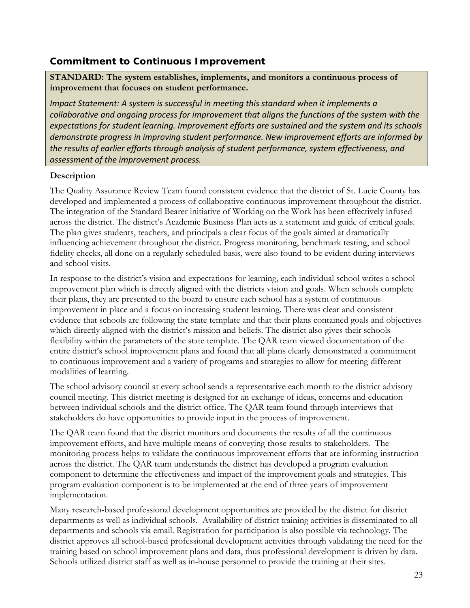## **Commitment to Continuous Improvement**

**STANDARD: The system establishes, implements, and monitors a continuous process of improvement that focuses on student performance.** 

*Impact Statement: A system is successful in meeting this standard when it implements a collaborative and ongoing process for improvement that aligns the functions of the system with the expectations for student learning. Improvement efforts are sustained and the system and its schools demonstrate progress in improving student performance. New improvement efforts are informed by the results of earlier efforts through analysis of student performance, system effectiveness, and assessment of the improvement process.*

### **Description**

The Quality Assurance Review Team found consistent evidence that the district of St. Lucie County has developed and implemented a process of collaborative continuous improvement throughout the district. The integration of the Standard Bearer initiative of Working on the Work has been effectively infused across the district. The district's Academic Business Plan acts as a statement and guide of critical goals. The plan gives students, teachers, and principals a clear focus of the goals aimed at dramatically influencing achievement throughout the district. Progress monitoring, benchmark testing, and school fidelity checks, all done on a regularly scheduled basis, were also found to be evident during interviews and school visits.

In response to the district's vision and expectations for learning, each individual school writes a school improvement plan which is directly aligned with the districts vision and goals. When schools complete their plans, they are presented to the board to ensure each school has a system of continuous improvement in place and a focus on increasing student learning. There was clear and consistent evidence that schools are following the state template and that their plans contained goals and objectives which directly aligned with the district's mission and beliefs. The district also gives their schools flexibility within the parameters of the state template. The QAR team viewed documentation of the entire district's school improvement plans and found that all plans clearly demonstrated a commitment to continuous improvement and a variety of programs and strategies to allow for meeting different modalities of learning.

The school advisory council at every school sends a representative each month to the district advisory council meeting. This district meeting is designed for an exchange of ideas, concerns and education between individual schools and the district office. The QAR team found through interviews that stakeholders do have opportunities to provide input in the process of improvement.

The QAR team found that the district monitors and documents the results of all the continuous improvement efforts, and have multiple means of conveying those results to stakeholders. The monitoring process helps to validate the continuous improvement efforts that are informing instruction across the district. The QAR team understands the district has developed a program evaluation component to determine the effectiveness and impact of the improvement goals and strategies. This program evaluation component is to be implemented at the end of three years of improvement implementation.

Many research-based professional development opportunities are provided by the district for district departments as well as individual schools. Availability of district training activities is disseminated to all departments and schools via email. Registration for participation is also possible via technology. The district approves all school-based professional development activities through validating the need for the training based on school improvement plans and data, thus professional development is driven by data. Schools utilized district staff as well as in-house personnel to provide the training at their sites.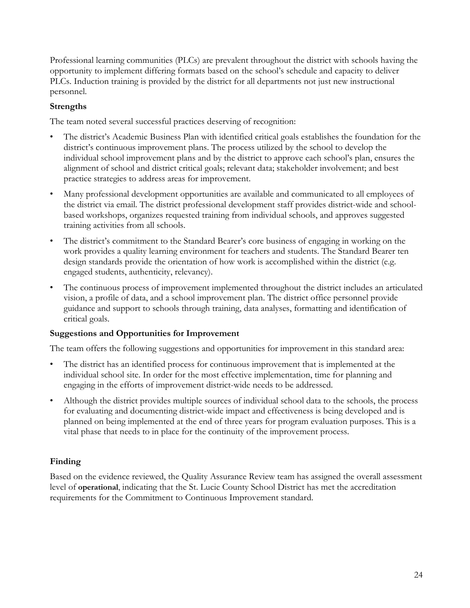Professional learning communities (PLCs) are prevalent throughout the district with schools having the opportunity to implement differing formats based on the school's schedule and capacity to deliver PLCs. Induction training is provided by the district for all departments not just new instructional personnel.

## **Strengths**

The team noted several successful practices deserving of recognition:

- The district's Academic Business Plan with identified critical goals establishes the foundation for the district's continuous improvement plans. The process utilized by the school to develop the individual school improvement plans and by the district to approve each school's plan, ensures the alignment of school and district critical goals; relevant data; stakeholder involvement; and best practice strategies to address areas for improvement.
- Many professional development opportunities are available and communicated to all employees of the district via email. The district professional development staff provides district-wide and schoolbased workshops, organizes requested training from individual schools, and approves suggested training activities from all schools.
- The district's commitment to the Standard Bearer's core business of engaging in working on the work provides a quality learning environment for teachers and students. The Standard Bearer ten design standards provide the orientation of how work is accomplished within the district (e.g. engaged students, authenticity, relevancy).
- The continuous process of improvement implemented throughout the district includes an articulated vision, a profile of data, and a school improvement plan. The district office personnel provide guidance and support to schools through training, data analyses, formatting and identification of critical goals.

## **Suggestions and Opportunities for Improvement**

The team offers the following suggestions and opportunities for improvement in this standard area:

- The district has an identified process for continuous improvement that is implemented at the individual school site. In order for the most effective implementation, time for planning and engaging in the efforts of improvement district-wide needs to be addressed.
- Although the district provides multiple sources of individual school data to the schools, the process for evaluating and documenting district-wide impact and effectiveness is being developed and is planned on being implemented at the end of three years for program evaluation purposes. This is a vital phase that needs to in place for the continuity of the improvement process.

## **Finding**

Based on the evidence reviewed, the Quality Assurance Review team has assigned the overall assessment level of **operational**, indicating that the St. Lucie County School District has met the accreditation requirements for the Commitment to Continuous Improvement standard.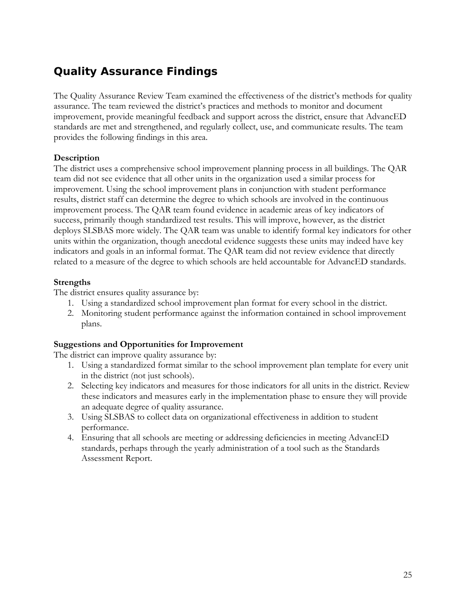## **Quality Assurance Findings**

The Quality Assurance Review Team examined the effectiveness of the district's methods for quality assurance. The team reviewed the district's practices and methods to monitor and document improvement, provide meaningful feedback and support across the district, ensure that AdvancED standards are met and strengthened, and regularly collect, use, and communicate results. The team provides the following findings in this area.

## **Description**

The district uses a comprehensive school improvement planning process in all buildings. The QAR team did not see evidence that all other units in the organization used a similar process for improvement. Using the school improvement plans in conjunction with student performance results, district staff can determine the degree to which schools are involved in the continuous improvement process. The QAR team found evidence in academic areas of key indicators of success, primarily though standardized test results. This will improve, however, as the district deploys SLSBAS more widely. The QAR team was unable to identify formal key indicators for other units within the organization, though anecdotal evidence suggests these units may indeed have key indicators and goals in an informal format. The QAR team did not review evidence that directly related to a measure of the degree to which schools are held accountable for AdvancED standards.

## **Strengths**

The district ensures quality assurance by:

- 1. Using a standardized school improvement plan format for every school in the district.
- 2. Monitoring student performance against the information contained in school improvement plans.

## **Suggestions and Opportunities for Improvement**

The district can improve quality assurance by:

- 1. Using a standardized format similar to the school improvement plan template for every unit in the district (not just schools).
- 2. Selecting key indicators and measures for those indicators for all units in the district. Review these indicators and measures early in the implementation phase to ensure they will provide an adequate degree of quality assurance.
- 3. Using SLSBAS to collect data on organizational effectiveness in addition to student performance.
- 4. Ensuring that all schools are meeting or addressing deficiencies in meeting AdvancED standards, perhaps through the yearly administration of a tool such as the Standards Assessment Report.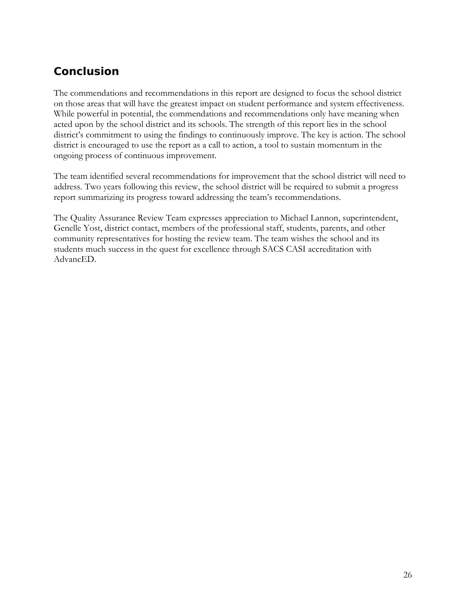## **Conclusion**

The commendations and recommendations in this report are designed to focus the school district on those areas that will have the greatest impact on student performance and system effectiveness. While powerful in potential, the commendations and recommendations only have meaning when acted upon by the school district and its schools. The strength of this report lies in the school district's commitment to using the findings to continuously improve. The key is action. The school district is encouraged to use the report as a call to action, a tool to sustain momentum in the ongoing process of continuous improvement.

The team identified several recommendations for improvement that the school district will need to address. Two years following this review, the school district will be required to submit a progress report summarizing its progress toward addressing the team's recommendations.

The Quality Assurance Review Team expresses appreciation to Michael Lannon, superintendent, Genelle Yost, district contact, members of the professional staff, students, parents, and other community representatives for hosting the review team. The team wishes the school and its students much success in the quest for excellence through SACS CASI accreditation with AdvancED.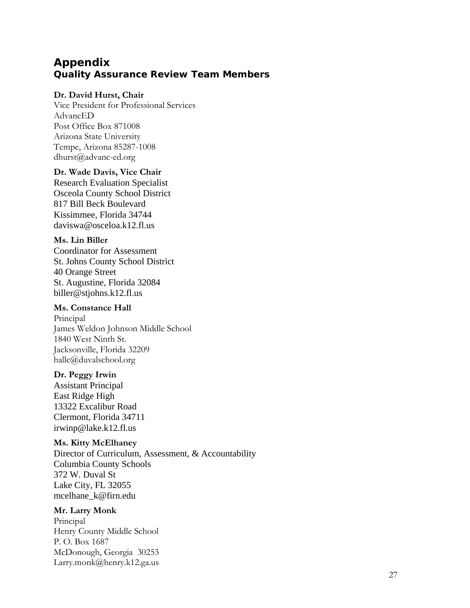## **Appendix Quality Assurance Review Team Members**

#### **Dr. David Hurst, Chair**

Vice President for Professional Services AdvancED Post Office Box 871008 Arizona State University Tempe, Arizona 85287-1008 dhurst@advanc-ed.org

#### **Dr. Wade Davis, Vice Chair**

Research Evaluation Specialist Osceola County School District 817 Bill Beck Boulevard Kissimmee, Florida 34744 daviswa@osceloa.k12.fl.us

#### **Ms. Lin Biller**

Coordinator for Assessment St. Johns County School District 40 Orange Street St. Augustine, Florida 32084 biller@stjohns.k12.fl.us

### **Ms. Constance Hall**

Principal James Weldon Johnson Middle School 1840 West Ninth St. Jacksonville, Florida 32209 hallc@duvalschool.org

#### **Dr. Peggy Irwin**

Assistant Principal East Ridge High 13322 Excalibur Road Clermont, Florida 34711 irwinp@lake.k12.fl.us

#### **Ms. Kitty McElhaney**

Director of Curriculum, Assessment, & Accountability Columbia County Schools 372 W. Duval St Lake City, FL 32055 mcelhane\_k@firn.edu

### **Mr. Larry Monk**

Principal Henry County Middle School P. O. Box 1687 McDonough, Georgia 30253 Larry.monk@henry.k12.ga.us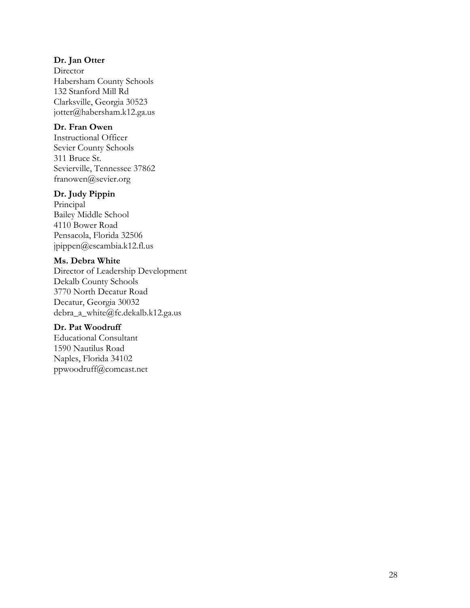#### **Dr. Jan Otter**

Director Habersham County Schools 132 Stanford Mill Rd Clarksville, Georgia 30523 jotter@habersham.k12.ga.us

#### **Dr. Fran Owen**

Instructional Officer Sevier County Schools 311 Bruce St. Sevierville, Tennessee 37862 franowen@sevier.org

#### **Dr. Judy Pippin**

Principal Bailey Middle School 4110 Bower Road Pensacola, Florida 32506 jpippen@escambia.k12.fl.us

### **Ms. Debra White**

Director of Leadership Development Dekalb County Schools 3770 North Decatur Road Decatur, Georgia 30032 debra\_a\_white@fc.dekalb.k12.ga.us

## **Dr. Pat Woodruff**

Educational Consultant 1590 Nautilus Road Naples, Florida 34102 ppwoodruff@comcast.net